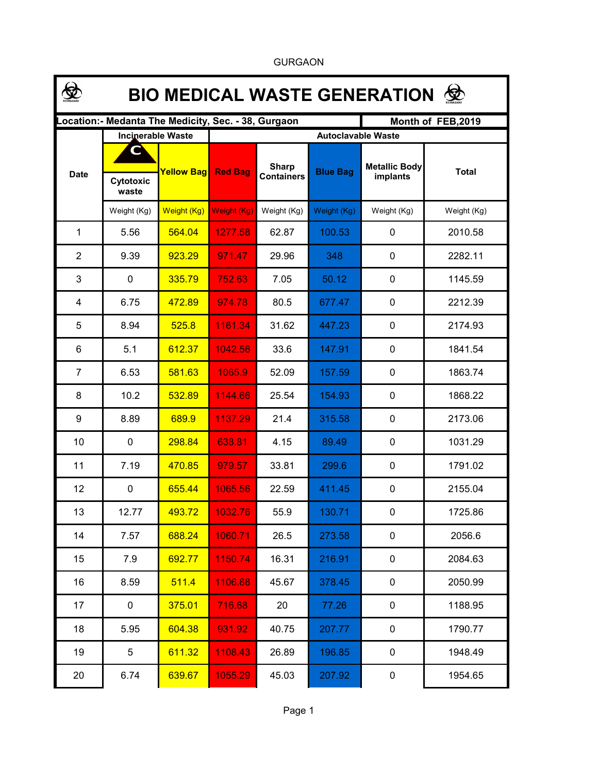| <b>BIO MEDICAL WASTE GENERATION</b>                                      |                          |                   |                           |                                   |                 |                                  |              |  |  |  |  |
|--------------------------------------------------------------------------|--------------------------|-------------------|---------------------------|-----------------------------------|-----------------|----------------------------------|--------------|--|--|--|--|
| Location:- Medanta The Medicity, Sec. - 38, Gurgaon<br>Month of FEB,2019 |                          |                   |                           |                                   |                 |                                  |              |  |  |  |  |
|                                                                          | <b>Incinerable Waste</b> |                   | <b>Autoclavable Waste</b> |                                   |                 |                                  |              |  |  |  |  |
| <b>Date</b>                                                              | Cytotoxic<br>waste       | <b>Yellow Bag</b> | <b>Red Bag</b>            | <b>Sharp</b><br><b>Containers</b> | <b>Blue Bag</b> | <b>Metallic Body</b><br>implants | <b>Total</b> |  |  |  |  |
|                                                                          | Weight (Kg)              | Weight (Kg)       | <b>Weight (Kg)</b>        | Weight (Kg)                       | Weight (Kg)     | Weight (Kg)                      | Weight (Kg)  |  |  |  |  |
| 1                                                                        | 5.56                     | 564.04            | 1277.58                   | 62.87                             | 100.53          | 0                                | 2010.58      |  |  |  |  |
| $\overline{2}$                                                           | 9.39                     | 923.29            | 971.47                    | 29.96                             | 348             | 0                                | 2282.11      |  |  |  |  |
| 3                                                                        | $\mathbf 0$              | 335.79            | 752.63                    | 7.05                              | 50.12           | 0                                | 1145.59      |  |  |  |  |
| 4                                                                        | 6.75                     | 472.89            | 974.78                    | 80.5                              | 677.47          | 0                                | 2212.39      |  |  |  |  |
| 5                                                                        | 8.94                     | 525.8             | 1161.34                   | 31.62                             | 447.23          | 0                                | 2174.93      |  |  |  |  |
| 6                                                                        | 5.1                      | 612.37            | 1042.56                   | 33.6                              | 147.91          | 0                                | 1841.54      |  |  |  |  |
| $\overline{7}$                                                           | 6.53                     | 581.63            | 1065.9                    | 52.09                             | 157.59          | 0                                | 1863.74      |  |  |  |  |
| 8                                                                        | 10.2                     | 532.89            | 1144.66                   | 25.54                             | 154.93          | 0                                | 1868.22      |  |  |  |  |
| 9                                                                        | 8.89                     | 689.9             | 1137.29                   | 21.4                              | 315.58          | 0                                | 2173.06      |  |  |  |  |
| 10                                                                       | $\mathbf 0$              | 298.84            | 638.81                    | 4.15                              | 89.49           | 0                                | 1031.29      |  |  |  |  |
| 11                                                                       | 7.19                     | 470.85            | 979.57                    | 33.81                             | 299.6           | 0                                | 1791.02      |  |  |  |  |
| 12                                                                       | $\mathbf 0$              | 655.44            | 1065.56                   | 22.59                             | 411.45          | 0                                | 2155.04      |  |  |  |  |
| 13                                                                       | 12.77                    | 493.72            | 1032.76                   | 55.9                              | 130.71          | 0                                | 1725.86      |  |  |  |  |
| 14                                                                       | 7.57                     | 688.24            | 1060.71                   | 26.5                              | 273.58          | $\pmb{0}$                        | 2056.6       |  |  |  |  |
| 15                                                                       | 7.9                      | 692.77            | 1150.74                   | 16.31                             | 216.91          | $\mathbf 0$                      | 2084.63      |  |  |  |  |
| 16                                                                       | 8.59                     | 511.4             | 1106.88                   | 45.67                             | 378.45          | 0                                | 2050.99      |  |  |  |  |
| 17                                                                       | 0                        | 375.01            | 716.68                    | 20                                | 77.26           | $\mathbf 0$                      | 1188.95      |  |  |  |  |
| 18                                                                       | 5.95                     | 604.38            | 931.92                    | 40.75                             | 207.77          | $\mathbf 0$                      | 1790.77      |  |  |  |  |
| 19                                                                       | 5                        | 611.32            | 1108.43                   | 26.89                             | 196.85          | $\mathbf 0$                      | 1948.49      |  |  |  |  |
| 20                                                                       | 6.74                     | 639.67            | 1055.29                   | 45.03                             | 207.92          | 0                                | 1954.65      |  |  |  |  |

GURGAON